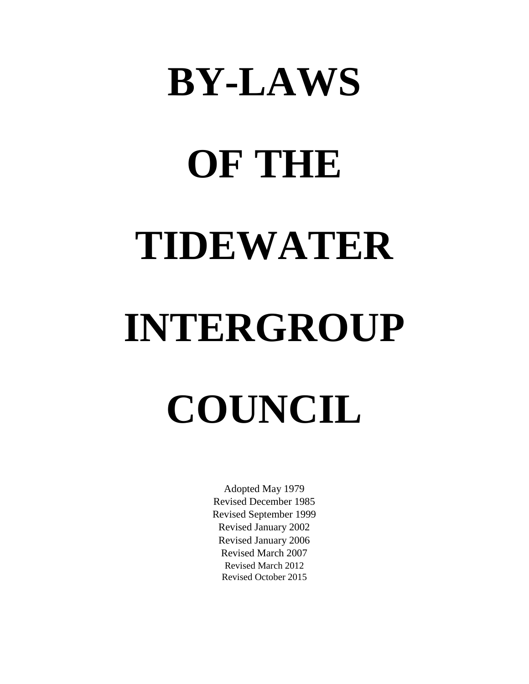# **BY-LAWS**

# **OF THE TIDEWATER**

# **INTERGROUP COUNCIL**

Adopted May 1979 Revised December 1985 Revised September 1999 Revised January 2002 Revised January 2006 Revised March 2007 Revised March 2012 Revised October 2015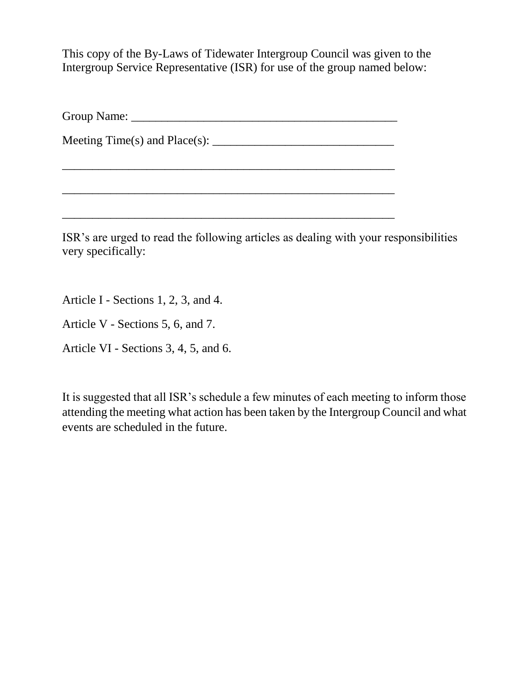This copy of the By-Laws of Tidewater Intergroup Council was given to the Intergroup Service Representative (ISR) for use of the group named below:

Group Name: \_\_\_\_\_\_\_\_\_\_\_\_\_\_\_\_\_\_\_\_\_\_\_\_\_\_\_\_\_\_\_\_\_\_\_\_\_\_\_\_\_\_\_\_

Meeting Time(s) and Place(s): \_\_\_\_\_\_\_\_\_\_\_\_\_\_\_\_\_\_\_\_\_\_\_\_\_\_\_\_\_\_

ISR's are urged to read the following articles as dealing with your responsibilities very specifically:

\_\_\_\_\_\_\_\_\_\_\_\_\_\_\_\_\_\_\_\_\_\_\_\_\_\_\_\_\_\_\_\_\_\_\_\_\_\_\_\_\_\_\_\_\_\_\_\_\_\_\_\_\_\_\_

 $\_$  ,  $\_$  ,  $\_$  ,  $\_$  ,  $\_$  ,  $\_$  ,  $\_$  ,  $\_$  ,  $\_$  ,  $\_$  ,  $\_$  ,  $\_$  ,  $\_$  ,  $\_$  ,  $\_$  ,  $\_$  ,  $\_$ 

 $\_$  ,  $\_$  ,  $\_$  ,  $\_$  ,  $\_$  ,  $\_$  ,  $\_$  ,  $\_$  ,  $\_$  ,  $\_$  ,  $\_$  ,  $\_$  ,  $\_$  ,  $\_$  ,  $\_$  ,  $\_$  ,  $\_$  ,  $\_$ 

Article I - Sections 1, 2, 3, and 4.

Article V - Sections 5, 6, and 7.

Article VI - Sections 3, 4, 5, and 6.

It is suggested that all ISR's schedule a few minutes of each meeting to inform those attending the meeting what action has been taken by the Intergroup Council and what events are scheduled in the future.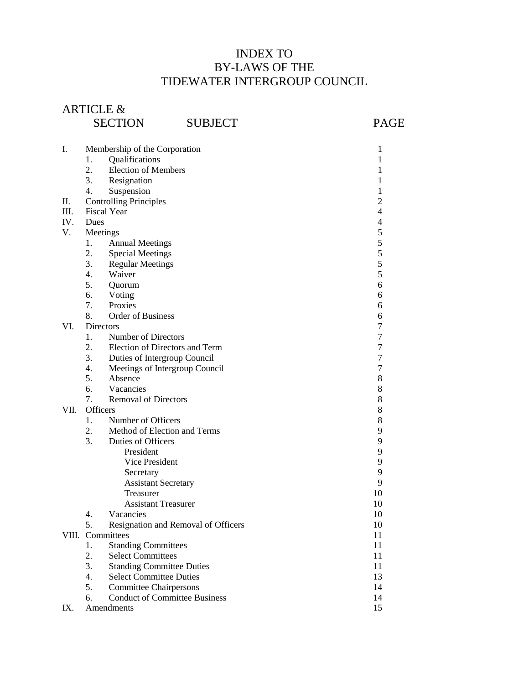# INDEX TO BY-LAWS OF THE TIDEWATER INTERGROUP COUNCIL

# ARTICLE & SECTION SUBJECT PAGE

| I.   | Membership of the Corporation              | 1  |
|------|--------------------------------------------|----|
|      | Qualifications<br>1.                       | 1  |
|      | 2.<br><b>Election of Members</b>           | 1  |
|      | 3.<br>Resignation                          | 1  |
|      | Suspension<br>4.                           | 1  |
| П.   | <b>Controlling Principles</b>              | 2  |
| Ш.   | <b>Fiscal Year</b>                         | 4  |
| IV.  | Dues                                       | 4  |
| V.   | Meetings                                   | 5  |
|      | 1.<br><b>Annual Meetings</b>               | 5  |
|      | 2.<br><b>Special Meetings</b>              | 5  |
|      | 3.<br><b>Regular Meetings</b>              | 5  |
|      | Waiver<br>4.                               | 5  |
|      | 5.<br>Quorum                               | 6  |
|      | 6.<br>Voting                               | 6  |
|      | 7.<br>Proxies                              | 6  |
|      | 8.<br><b>Order of Business</b>             | 6  |
| VI.  | <b>Directors</b>                           | 7  |
|      | $1_{\cdot}$<br>Number of Directors         | 7  |
|      | 2.<br>Election of Directors and Term       | 7  |
|      | 3.<br>Duties of Intergroup Council         | 7  |
|      | 4.<br>Meetings of Intergroup Council       | 7  |
|      | 5.<br>Absence                              | 8  |
|      | Vacancies<br>6.                            | 8  |
|      | 7.<br><b>Removal of Directors</b>          | 8  |
| VII. | Officers                                   | 8  |
|      | Number of Officers<br>$1_{\cdot}$          | 8  |
|      | 2.<br>Method of Election and Terms         | 9  |
|      | 3.<br>Duties of Officers                   | 9  |
|      | President                                  | 9  |
|      | Vice President                             | 9  |
|      | Secretary                                  | 9  |
|      | <b>Assistant Secretary</b>                 | 9  |
|      | Treasurer                                  | 10 |
|      | <b>Assistant Treasurer</b>                 | 10 |
|      | 4.<br>Vacancies                            | 10 |
|      | 5.<br>Resignation and Removal of Officers  | 10 |
|      | VIII. Committees                           | 11 |
|      | 1.<br><b>Standing Committees</b>           | 11 |
|      | 2.<br><b>Select Committees</b>             | 11 |
|      | 3.<br><b>Standing Committee Duties</b>     | 11 |
|      | <b>Select Committee Duties</b><br>4.       | 13 |
|      | 5.<br><b>Committee Chairpersons</b>        | 14 |
|      | <b>Conduct of Committee Business</b><br>6. | 14 |
| IX.  | Amendments                                 | 15 |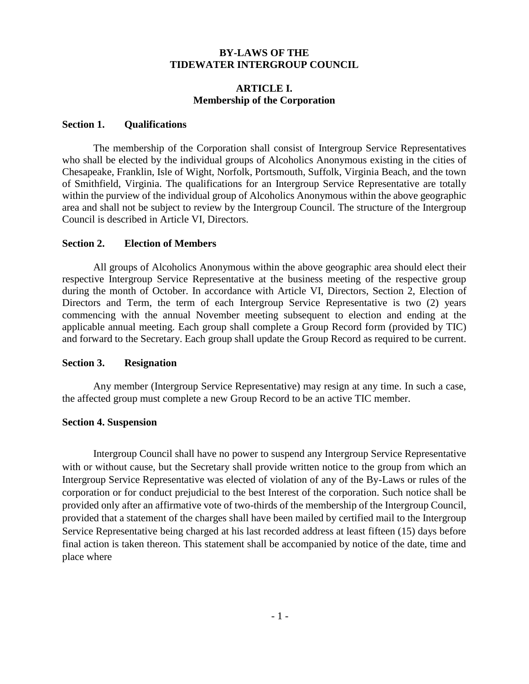#### **BY-LAWS OF THE TIDEWATER INTERGROUP COUNCIL**

#### **ARTICLE I. Membership of the Corporation**

#### **Section 1. Qualifications**

The membership of the Corporation shall consist of Intergroup Service Representatives who shall be elected by the individual groups of Alcoholics Anonymous existing in the cities of Chesapeake, Franklin, Isle of Wight, Norfolk, Portsmouth, Suffolk, Virginia Beach, and the town of Smithfield, Virginia. The qualifications for an Intergroup Service Representative are totally within the purview of the individual group of Alcoholics Anonymous within the above geographic area and shall not be subject to review by the Intergroup Council. The structure of the Intergroup Council is described in Article VI, Directors.

#### **Section 2. Election of Members**

All groups of Alcoholics Anonymous within the above geographic area should elect their respective Intergroup Service Representative at the business meeting of the respective group during the month of October. In accordance with Article VI, Directors, Section 2, Election of Directors and Term, the term of each Intergroup Service Representative is two (2) years commencing with the annual November meeting subsequent to election and ending at the applicable annual meeting. Each group shall complete a Group Record form (provided by TIC) and forward to the Secretary. Each group shall update the Group Record as required to be current.

#### **Section 3. Resignation**

Any member (Intergroup Service Representative) may resign at any time. In such a case, the affected group must complete a new Group Record to be an active TIC member.

#### **Section 4. Suspension**

Intergroup Council shall have no power to suspend any Intergroup Service Representative with or without cause, but the Secretary shall provide written notice to the group from which an Intergroup Service Representative was elected of violation of any of the By-Laws or rules of the corporation or for conduct prejudicial to the best Interest of the corporation. Such notice shall be provided only after an affirmative vote of two-thirds of the membership of the Intergroup Council, provided that a statement of the charges shall have been mailed by certified mail to the Intergroup Service Representative being charged at his last recorded address at least fifteen (15) days before final action is taken thereon. This statement shall be accompanied by notice of the date, time and place where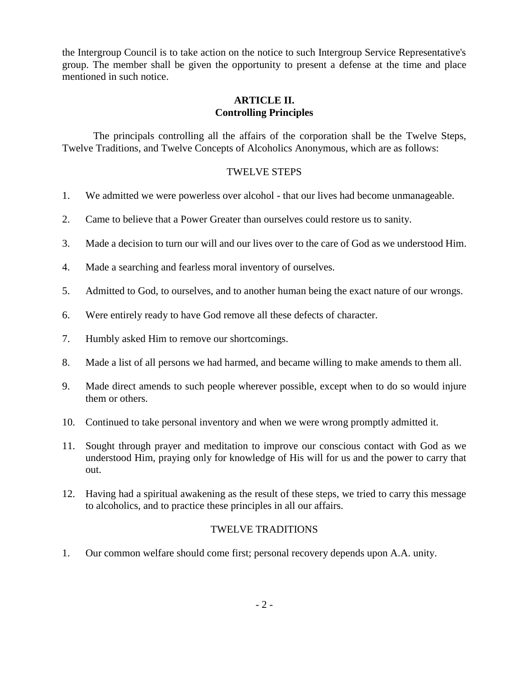the Intergroup Council is to take action on the notice to such Intergroup Service Representative's group. The member shall be given the opportunity to present a defense at the time and place mentioned in such notice.

#### **ARTICLE II. Controlling Principles**

The principals controlling all the affairs of the corporation shall be the Twelve Steps, Twelve Traditions, and Twelve Concepts of Alcoholics Anonymous, which are as follows:

# TWELVE STEPS

- 1. We admitted we were powerless over alcohol that our lives had become unmanageable.
- 2. Came to believe that a Power Greater than ourselves could restore us to sanity.
- 3. Made a decision to turn our will and our lives over to the care of God as we understood Him.
- 4. Made a searching and fearless moral inventory of ourselves.
- 5. Admitted to God, to ourselves, and to another human being the exact nature of our wrongs.
- 6. Were entirely ready to have God remove all these defects of character.
- 7. Humbly asked Him to remove our shortcomings.
- 8. Made a list of all persons we had harmed, and became willing to make amends to them all.
- 9. Made direct amends to such people wherever possible, except when to do so would injure them or others.
- 10. Continued to take personal inventory and when we were wrong promptly admitted it.
- 11. Sought through prayer and meditation to improve our conscious contact with God as we understood Him, praying only for knowledge of His will for us and the power to carry that out.
- 12. Having had a spiritual awakening as the result of these steps, we tried to carry this message to alcoholics, and to practice these principles in all our affairs.

# TWELVE TRADITIONS

1. Our common welfare should come first; personal recovery depends upon A.A. unity.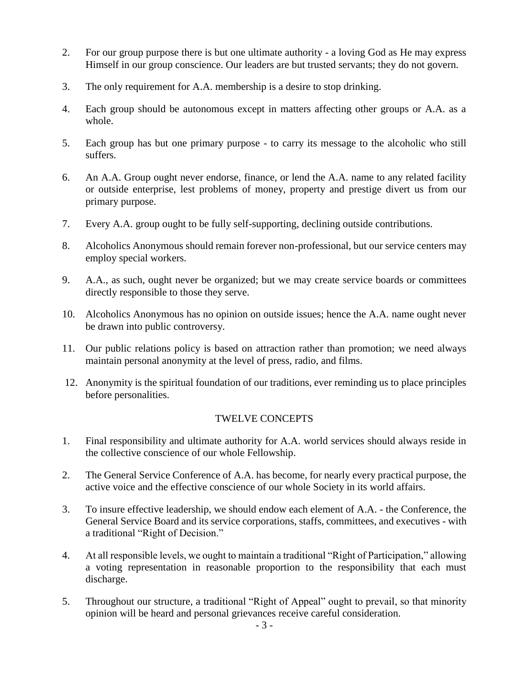- 2. For our group purpose there is but one ultimate authority a loving God as He may express Himself in our group conscience. Our leaders are but trusted servants; they do not govern.
- 3. The only requirement for A.A. membership is a desire to stop drinking.
- 4. Each group should be autonomous except in matters affecting other groups or A.A. as a whole.
- 5. Each group has but one primary purpose to carry its message to the alcoholic who still suffers.
- 6. An A.A. Group ought never endorse, finance, or lend the A.A. name to any related facility or outside enterprise, lest problems of money, property and prestige divert us from our primary purpose.
- 7. Every A.A. group ought to be fully self-supporting, declining outside contributions.
- 8. Alcoholics Anonymous should remain forever non-professional, but our service centers may employ special workers.
- 9. A.A., as such, ought never be organized; but we may create service boards or committees directly responsible to those they serve.
- 10. Alcoholics Anonymous has no opinion on outside issues; hence the A.A. name ought never be drawn into public controversy.
- 11. Our public relations policy is based on attraction rather than promotion; we need always maintain personal anonymity at the level of press, radio, and films.
- 12. Anonymity is the spiritual foundation of our traditions, ever reminding us to place principles before personalities.

#### TWELVE CONCEPTS

- 1. Final responsibility and ultimate authority for A.A. world services should always reside in the collective conscience of our whole Fellowship.
- 2. The General Service Conference of A.A. has become, for nearly every practical purpose, the active voice and the effective conscience of our whole Society in its world affairs.
- 3. To insure effective leadership, we should endow each element of A.A. the Conference, the General Service Board and its service corporations, staffs, committees, and executives - with a traditional "Right of Decision."
- 4. At all responsible levels, we ought to maintain a traditional "Right of Participation," allowing a voting representation in reasonable proportion to the responsibility that each must discharge.
- 5. Throughout our structure, a traditional "Right of Appeal" ought to prevail, so that minority opinion will be heard and personal grievances receive careful consideration.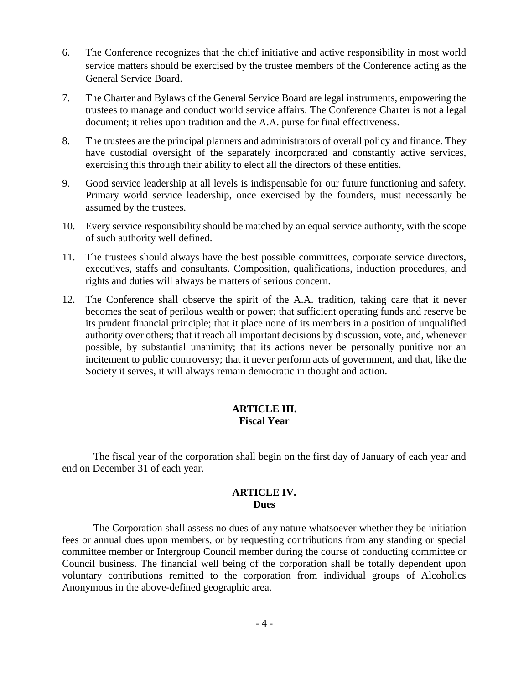- 6. The Conference recognizes that the chief initiative and active responsibility in most world service matters should be exercised by the trustee members of the Conference acting as the General Service Board.
- 7. The Charter and Bylaws of the General Service Board are legal instruments, empowering the trustees to manage and conduct world service affairs. The Conference Charter is not a legal document; it relies upon tradition and the A.A. purse for final effectiveness.
- 8. The trustees are the principal planners and administrators of overall policy and finance. They have custodial oversight of the separately incorporated and constantly active services, exercising this through their ability to elect all the directors of these entities.
- 9. Good service leadership at all levels is indispensable for our future functioning and safety. Primary world service leadership, once exercised by the founders, must necessarily be assumed by the trustees.
- 10. Every service responsibility should be matched by an equal service authority, with the scope of such authority well defined.
- 11. The trustees should always have the best possible committees, corporate service directors, executives, staffs and consultants. Composition, qualifications, induction procedures, and rights and duties will always be matters of serious concern.
- 12. The Conference shall observe the spirit of the A.A. tradition, taking care that it never becomes the seat of perilous wealth or power; that sufficient operating funds and reserve be its prudent financial principle; that it place none of its members in a position of unqualified authority over others; that it reach all important decisions by discussion, vote, and, whenever possible, by substantial unanimity; that its actions never be personally punitive nor an incitement to public controversy; that it never perform acts of government, and that, like the Society it serves, it will always remain democratic in thought and action.

#### **ARTICLE III. Fiscal Year**

The fiscal year of the corporation shall begin on the first day of January of each year and end on December 31 of each year.

#### **ARTICLE IV. Dues**

The Corporation shall assess no dues of any nature whatsoever whether they be initiation fees or annual dues upon members, or by requesting contributions from any standing or special committee member or Intergroup Council member during the course of conducting committee or Council business. The financial well being of the corporation shall be totally dependent upon voluntary contributions remitted to the corporation from individual groups of Alcoholics Anonymous in the above-defined geographic area.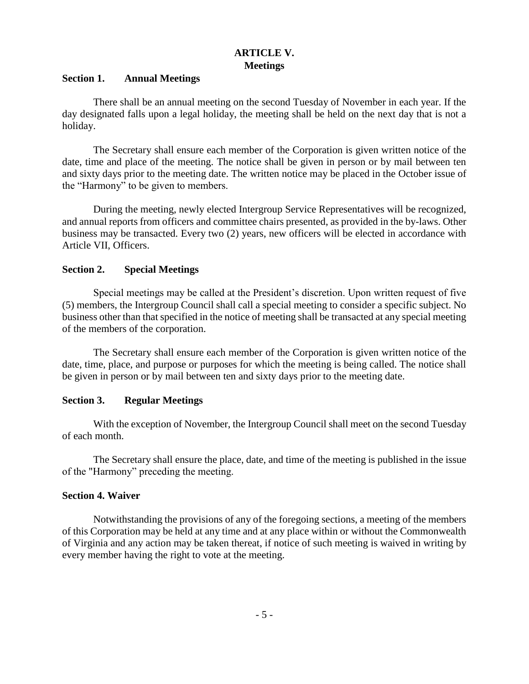# **ARTICLE V. Meetings**

#### **Section 1. Annual Meetings**

There shall be an annual meeting on the second Tuesday of November in each year. If the day designated falls upon a legal holiday, the meeting shall be held on the next day that is not a holiday.

The Secretary shall ensure each member of the Corporation is given written notice of the date, time and place of the meeting. The notice shall be given in person or by mail between ten and sixty days prior to the meeting date. The written notice may be placed in the October issue of the "Harmony" to be given to members.

During the meeting, newly elected Intergroup Service Representatives will be recognized, and annual reports from officers and committee chairs presented, as provided in the by-laws. Other business may be transacted. Every two (2) years, new officers will be elected in accordance with Article VII, Officers.

#### **Section 2. Special Meetings**

Special meetings may be called at the President's discretion. Upon written request of five (5) members, the Intergroup Council shall call a special meeting to consider a specific subject. No business other than that specified in the notice of meeting shall be transacted at any special meeting of the members of the corporation.

The Secretary shall ensure each member of the Corporation is given written notice of the date, time, place, and purpose or purposes for which the meeting is being called. The notice shall be given in person or by mail between ten and sixty days prior to the meeting date.

#### **Section 3. Regular Meetings**

With the exception of November, the Intergroup Council shall meet on the second Tuesday of each month.

The Secretary shall ensure the place, date, and time of the meeting is published in the issue of the "Harmony" preceding the meeting.

#### **Section 4. Waiver**

Notwithstanding the provisions of any of the foregoing sections, a meeting of the members of this Corporation may be held at any time and at any place within or without the Commonwealth of Virginia and any action may be taken thereat, if notice of such meeting is waived in writing by every member having the right to vote at the meeting.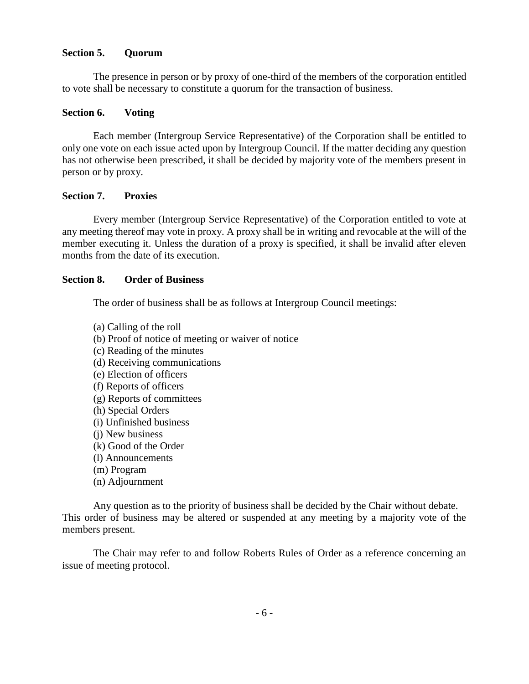#### **Section 5. Quorum**

The presence in person or by proxy of one-third of the members of the corporation entitled to vote shall be necessary to constitute a quorum for the transaction of business.

#### **Section 6. Voting**

Each member (Intergroup Service Representative) of the Corporation shall be entitled to only one vote on each issue acted upon by Intergroup Council. If the matter deciding any question has not otherwise been prescribed, it shall be decided by majority vote of the members present in person or by proxy.

#### **Section 7. Proxies**

Every member (Intergroup Service Representative) of the Corporation entitled to vote at any meeting thereof may vote in proxy. A proxy shall be in writing and revocable at the will of the member executing it. Unless the duration of a proxy is specified, it shall be invalid after eleven months from the date of its execution.

#### **Section 8. Order of Business**

The order of business shall be as follows at Intergroup Council meetings:

(a) Calling of the roll (b) Proof of notice of meeting or waiver of notice (c) Reading of the minutes (d) Receiving communications (e) Election of officers (f) Reports of officers (g) Reports of committees (h) Special Orders (i) Unfinished business (j) New business (k) Good of the Order (l) Announcements (m) Program (n) Adjournment

Any question as to the priority of business shall be decided by the Chair without debate. This order of business may be altered or suspended at any meeting by a majority vote of the members present.

The Chair may refer to and follow Roberts Rules of Order as a reference concerning an issue of meeting protocol.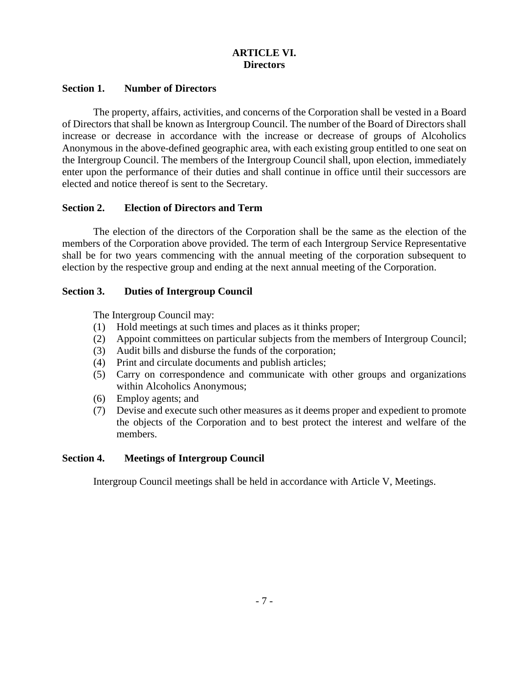# **ARTICLE VI. Directors**

#### **Section 1. Number of Directors**

The property, affairs, activities, and concerns of the Corporation shall be vested in a Board of Directors that shall be known as Intergroup Council. The number of the Board of Directors shall increase or decrease in accordance with the increase or decrease of groups of Alcoholics Anonymous in the above-defined geographic area, with each existing group entitled to one seat on the Intergroup Council. The members of the Intergroup Council shall, upon election, immediately enter upon the performance of their duties and shall continue in office until their successors are elected and notice thereof is sent to the Secretary.

#### **Section 2. Election of Directors and Term**

The election of the directors of the Corporation shall be the same as the election of the members of the Corporation above provided. The term of each Intergroup Service Representative shall be for two years commencing with the annual meeting of the corporation subsequent to election by the respective group and ending at the next annual meeting of the Corporation.

#### **Section 3. Duties of Intergroup Council**

The Intergroup Council may:

- (1) Hold meetings at such times and places as it thinks proper;
- (2) Appoint committees on particular subjects from the members of Intergroup Council;
- (3) Audit bills and disburse the funds of the corporation;
- (4) Print and circulate documents and publish articles;
- (5) Carry on correspondence and communicate with other groups and organizations within Alcoholics Anonymous;
- (6) Employ agents; and
- (7) Devise and execute such other measures as it deems proper and expedient to promote the objects of the Corporation and to best protect the interest and welfare of the members.

# **Section 4. Meetings of Intergroup Council**

Intergroup Council meetings shall be held in accordance with Article V, Meetings.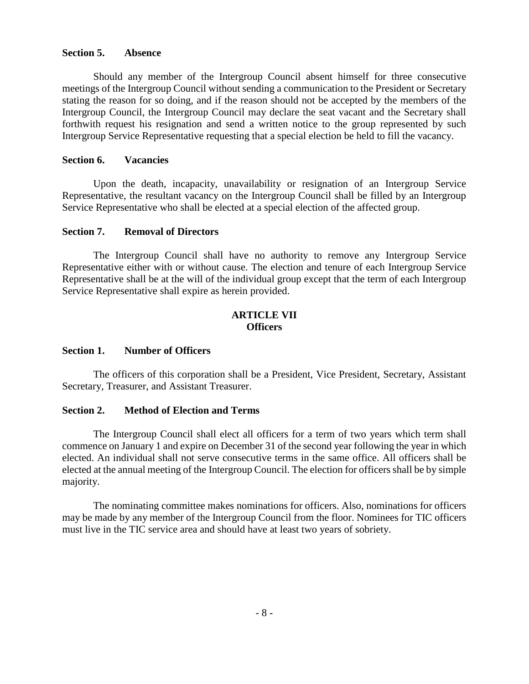#### **Section 5. Absence**

Should any member of the Intergroup Council absent himself for three consecutive meetings of the Intergroup Council without sending a communication to the President or Secretary stating the reason for so doing, and if the reason should not be accepted by the members of the Intergroup Council, the Intergroup Council may declare the seat vacant and the Secretary shall forthwith request his resignation and send a written notice to the group represented by such Intergroup Service Representative requesting that a special election be held to fill the vacancy.

#### **Section 6. Vacancies**

Upon the death, incapacity, unavailability or resignation of an Intergroup Service Representative, the resultant vacancy on the Intergroup Council shall be filled by an Intergroup Service Representative who shall be elected at a special election of the affected group.

#### **Section 7. Removal of Directors**

The Intergroup Council shall have no authority to remove any Intergroup Service Representative either with or without cause. The election and tenure of each Intergroup Service Representative shall be at the will of the individual group except that the term of each Intergroup Service Representative shall expire as herein provided.

#### **ARTICLE VII Officers**

#### **Section 1. Number of Officers**

The officers of this corporation shall be a President, Vice President, Secretary, Assistant Secretary, Treasurer, and Assistant Treasurer.

#### **Section 2. Method of Election and Terms**

The Intergroup Council shall elect all officers for a term of two years which term shall commence on January 1 and expire on December 31 of the second year following the year in which elected. An individual shall not serve consecutive terms in the same office. All officers shall be elected at the annual meeting of the Intergroup Council. The election for officers shall be by simple majority.

The nominating committee makes nominations for officers. Also, nominations for officers may be made by any member of the Intergroup Council from the floor. Nominees for TIC officers must live in the TIC service area and should have at least two years of sobriety.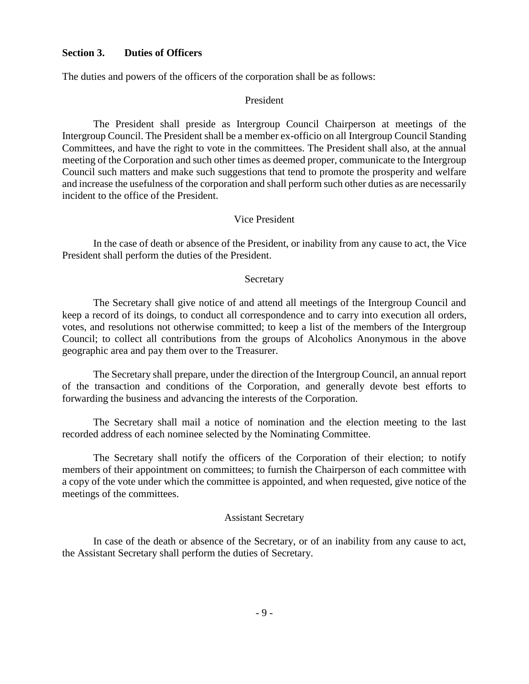#### **Section 3. Duties of Officers**

The duties and powers of the officers of the corporation shall be as follows:

#### President

The President shall preside as Intergroup Council Chairperson at meetings of the Intergroup Council. The President shall be a member ex-officio on all Intergroup Council Standing Committees, and have the right to vote in the committees. The President shall also, at the annual meeting of the Corporation and such other times as deemed proper, communicate to the Intergroup Council such matters and make such suggestions that tend to promote the prosperity and welfare and increase the usefulness of the corporation and shall perform such other duties as are necessarily incident to the office of the President.

#### Vice President

In the case of death or absence of the President, or inability from any cause to act, the Vice President shall perform the duties of the President.

#### Secretary

The Secretary shall give notice of and attend all meetings of the Intergroup Council and keep a record of its doings, to conduct all correspondence and to carry into execution all orders, votes, and resolutions not otherwise committed; to keep a list of the members of the Intergroup Council; to collect all contributions from the groups of Alcoholics Anonymous in the above geographic area and pay them over to the Treasurer.

The Secretary shall prepare, under the direction of the Intergroup Council, an annual report of the transaction and conditions of the Corporation, and generally devote best efforts to forwarding the business and advancing the interests of the Corporation.

The Secretary shall mail a notice of nomination and the election meeting to the last recorded address of each nominee selected by the Nominating Committee.

The Secretary shall notify the officers of the Corporation of their election; to notify members of their appointment on committees; to furnish the Chairperson of each committee with a copy of the vote under which the committee is appointed, and when requested, give notice of the meetings of the committees.

#### Assistant Secretary

In case of the death or absence of the Secretary, or of an inability from any cause to act, the Assistant Secretary shall perform the duties of Secretary.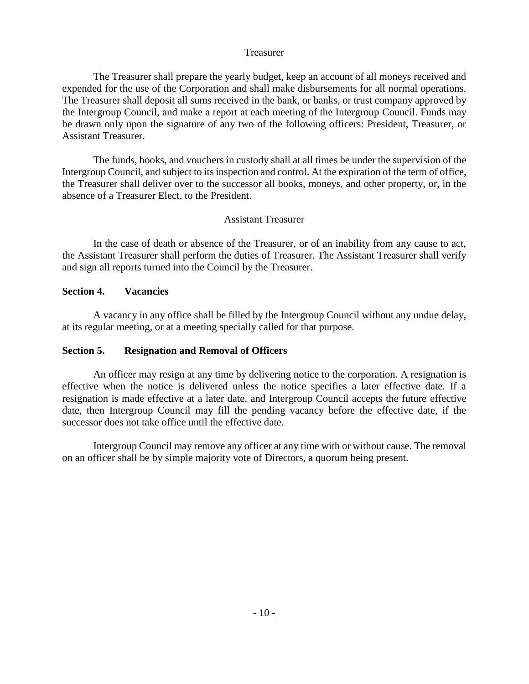#### Treasurer

The Treasurer shall prepare the yearly budget, keep an account of all moneys received and expended for the use of the Corporation and shall make disbursements for all normal operations. The Treasurer shall deposit all sums received in the bank, or banks, or trust company approved by the Intergroup Council, and make a report at each meeting of the Intergroup Council. Funds may be drawn only upon the signature of any two of the following officers: President, Treasurer, or Assistant Treasurer.

The funds, books, and vouchers in custody shall at all times be under the supervision of the Intergroup Council, and subject to its inspection and control. At the expiration of the term of office, the Treasurer shall deliver over to the successor all books, moneys, and other property, or, in the absence of a Treasurer Elect, to the President.

#### Assistant Treasurer

In the case of death or absence of the Treasurer, or of an inability from any cause to act, the Assistant Treasurer shall perform the duties of Treasurer. The Assistant Treasurer shall verify and sign all reports turned into the Council by the Treasurer.

#### **Section 4. Vacancies**

A vacancy in any office shall be filled by the Intergroup Council without any undue delay, at its regular meeting, or at a meeting specially called for that purpose.

#### **Section 5. Resignation and Removal of Officers**

An officer may resign at any time by delivering notice to the corporation. A resignation is effective when the notice is delivered unless the notice specifies a later effective date. If a resignation is made effective at a later date, and Intergroup Council accepts the future effective date, then Intergroup Council may fill the pending vacancy before the effective date, if the successor does not take office until the effective date.

Intergroup Council may remove any officer at any time with or without cause. The removal on an officer shall be by simple majority vote of Directors, a quorum being present.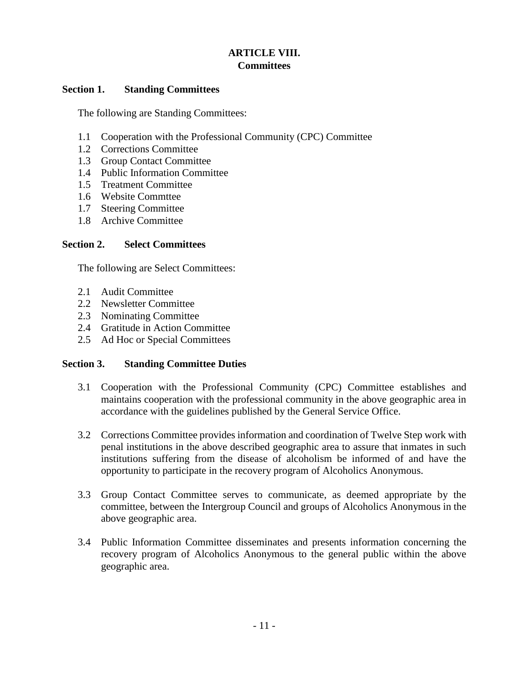# **ARTICLE VIII. Committees**

#### **Section 1. Standing Committees**

The following are Standing Committees:

- 1.1 Cooperation with the Professional Community (CPC) Committee
- 1.2 Corrections Committee
- 1.3 Group Contact Committee
- 1.4 Public Information Committee
- 1.5 Treatment Committee
- 1.6 Website Commttee
- 1.7 Steering Committee
- 1.8 Archive Committee

#### **Section 2. Select Committees**

The following are Select Committees:

- 2.1 Audit Committee
- 2.2 Newsletter Committee
- 2.3 Nominating Committee
- 2.4 Gratitude in Action Committee
- 2.5 Ad Hoc or Special Committees

#### **Section 3. Standing Committee Duties**

- 3.1 Cooperation with the Professional Community (CPC) Committee establishes and maintains cooperation with the professional community in the above geographic area in accordance with the guidelines published by the General Service Office.
- 3.2 Corrections Committee provides information and coordination of Twelve Step work with penal institutions in the above described geographic area to assure that inmates in such institutions suffering from the disease of alcoholism be informed of and have the opportunity to participate in the recovery program of Alcoholics Anonymous.
- 3.3 Group Contact Committee serves to communicate, as deemed appropriate by the committee, between the Intergroup Council and groups of Alcoholics Anonymous in the above geographic area.
- 3.4 Public Information Committee disseminates and presents information concerning the recovery program of Alcoholics Anonymous to the general public within the above geographic area.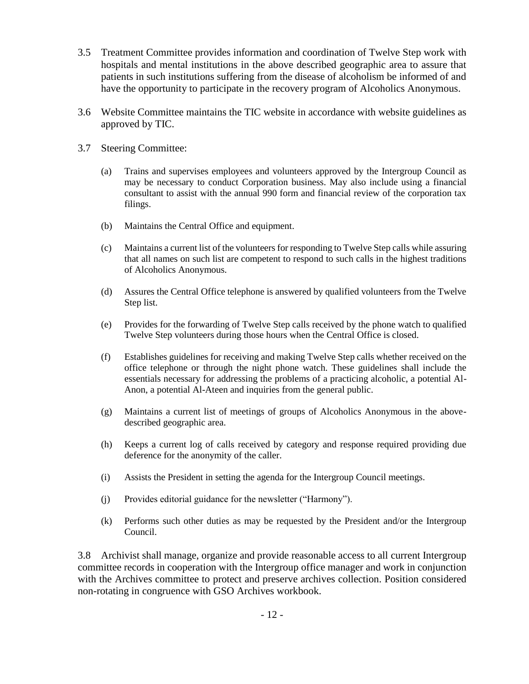- 3.5 Treatment Committee provides information and coordination of Twelve Step work with hospitals and mental institutions in the above described geographic area to assure that patients in such institutions suffering from the disease of alcoholism be informed of and have the opportunity to participate in the recovery program of Alcoholics Anonymous.
- 3.6 Website Committee maintains the TIC website in accordance with website guidelines as approved by TIC.
- 3.7 Steering Committee:
	- (a) Trains and supervises employees and volunteers approved by the Intergroup Council as may be necessary to conduct Corporation business. May also include using a financial consultant to assist with the annual 990 form and financial review of the corporation tax filings.
	- (b) Maintains the Central Office and equipment.
	- (c) Maintains a current list of the volunteers for responding to Twelve Step calls while assuring that all names on such list are competent to respond to such calls in the highest traditions of Alcoholics Anonymous.
	- (d) Assures the Central Office telephone is answered by qualified volunteers from the Twelve Step list.
	- (e) Provides for the forwarding of Twelve Step calls received by the phone watch to qualified Twelve Step volunteers during those hours when the Central Office is closed.
	- (f) Establishes guidelines for receiving and making Twelve Step calls whether received on the office telephone or through the night phone watch. These guidelines shall include the essentials necessary for addressing the problems of a practicing alcoholic, a potential Al-Anon, a potential Al-Ateen and inquiries from the general public.
	- (g) Maintains a current list of meetings of groups of Alcoholics Anonymous in the abovedescribed geographic area.
	- (h) Keeps a current log of calls received by category and response required providing due deference for the anonymity of the caller.
	- (i) Assists the President in setting the agenda for the Intergroup Council meetings.
	- (j) Provides editorial guidance for the newsletter ("Harmony").
	- (k) Performs such other duties as may be requested by the President and/or the Intergroup Council.

3.8 Archivist shall manage, organize and provide reasonable access to all current Intergroup committee records in cooperation with the Intergroup office manager and work in conjunction with the Archives committee to protect and preserve archives collection. Position considered non-rotating in congruence with GSO Archives workbook.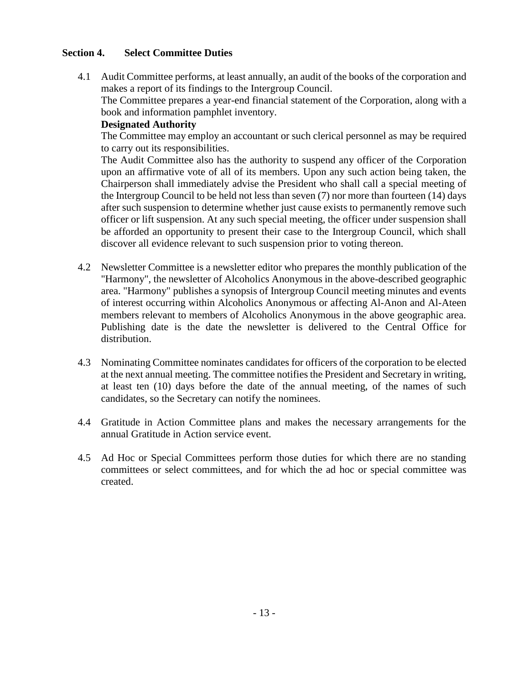#### **Section 4. Select Committee Duties**

4.1 Audit Committee performs, at least annually, an audit of the books of the corporation and makes a report of its findings to the Intergroup Council.

The Committee prepares a year-end financial statement of the Corporation, along with a book and information pamphlet inventory.

#### **Designated Authority**

The Committee may employ an accountant or such clerical personnel as may be required to carry out its responsibilities.

The Audit Committee also has the authority to suspend any officer of the Corporation upon an affirmative vote of all of its members. Upon any such action being taken, the Chairperson shall immediately advise the President who shall call a special meeting of the Intergroup Council to be held not less than seven (7) nor more than fourteen (14) days after such suspension to determine whether just cause exists to permanently remove such officer or lift suspension. At any such special meeting, the officer under suspension shall be afforded an opportunity to present their case to the Intergroup Council, which shall discover all evidence relevant to such suspension prior to voting thereon.

- 4.2 Newsletter Committee is a newsletter editor who prepares the monthly publication of the "Harmony", the newsletter of Alcoholics Anonymous in the above-described geographic area. "Harmony" publishes a synopsis of Intergroup Council meeting minutes and events of interest occurring within Alcoholics Anonymous or affecting Al-Anon and Al-Ateen members relevant to members of Alcoholics Anonymous in the above geographic area. Publishing date is the date the newsletter is delivered to the Central Office for distribution.
- 4.3 Nominating Committee nominates candidates for officers of the corporation to be elected at the next annual meeting. The committee notifies the President and Secretary in writing, at least ten (10) days before the date of the annual meeting, of the names of such candidates, so the Secretary can notify the nominees.
- 4.4 Gratitude in Action Committee plans and makes the necessary arrangements for the annual Gratitude in Action service event.
- 4.5 Ad Hoc or Special Committees perform those duties for which there are no standing committees or select committees, and for which the ad hoc or special committee was created.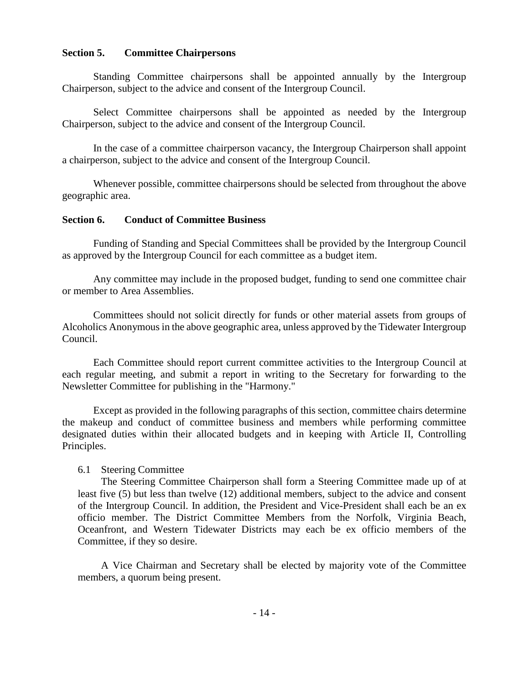#### **Section 5. Committee Chairpersons**

Standing Committee chairpersons shall be appointed annually by the Intergroup Chairperson, subject to the advice and consent of the Intergroup Council.

Select Committee chairpersons shall be appointed as needed by the Intergroup Chairperson, subject to the advice and consent of the Intergroup Council.

In the case of a committee chairperson vacancy, the Intergroup Chairperson shall appoint a chairperson, subject to the advice and consent of the Intergroup Council.

Whenever possible, committee chairpersons should be selected from throughout the above geographic area.

#### **Section 6. Conduct of Committee Business**

Funding of Standing and Special Committees shall be provided by the Intergroup Council as approved by the Intergroup Council for each committee as a budget item.

Any committee may include in the proposed budget, funding to send one committee chair or member to Area Assemblies.

Committees should not solicit directly for funds or other material assets from groups of Alcoholics Anonymous in the above geographic area, unless approved by the Tidewater Intergroup Council.

Each Committee should report current committee activities to the Intergroup Council at each regular meeting, and submit a report in writing to the Secretary for forwarding to the Newsletter Committee for publishing in the "Harmony."

Except as provided in the following paragraphs of this section, committee chairs determine the makeup and conduct of committee business and members while performing committee designated duties within their allocated budgets and in keeping with Article II, Controlling Principles.

#### 6.1 Steering Committee

The Steering Committee Chairperson shall form a Steering Committee made up of at least five (5) but less than twelve (12) additional members, subject to the advice and consent of the Intergroup Council. In addition, the President and Vice-President shall each be an ex officio member. The District Committee Members from the Norfolk, Virginia Beach, Oceanfront, and Western Tidewater Districts may each be ex officio members of the Committee, if they so desire.

A Vice Chairman and Secretary shall be elected by majority vote of the Committee members, a quorum being present.